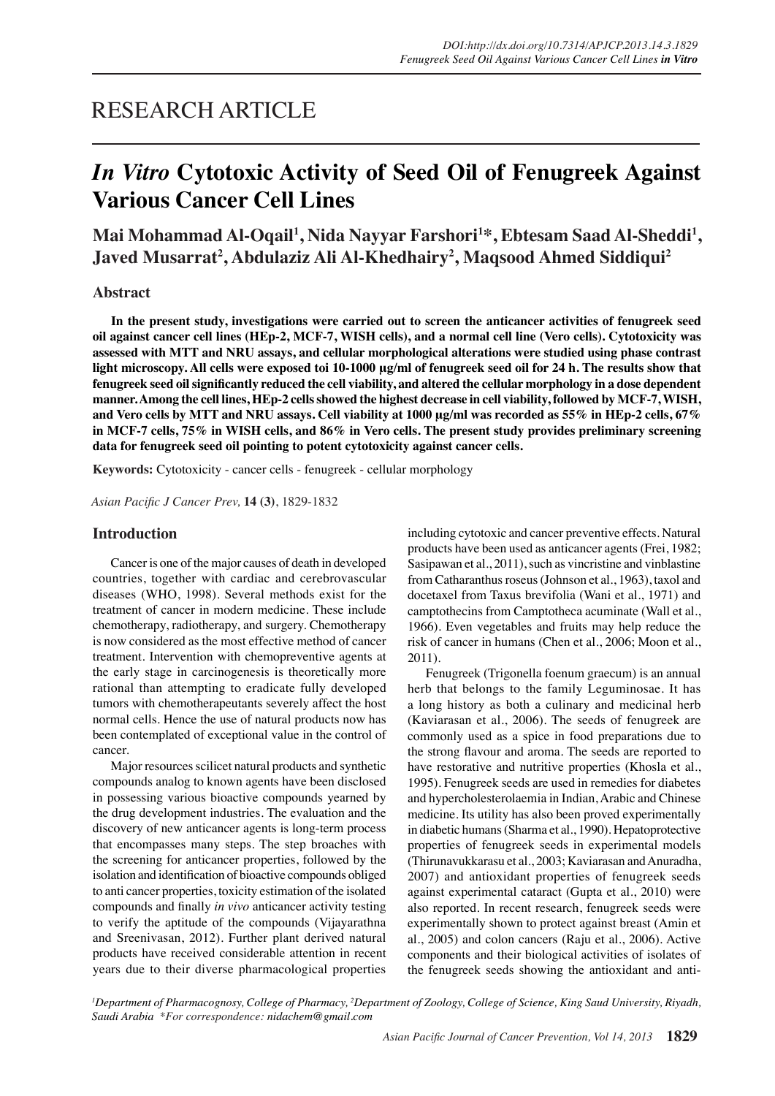## RESEARCH ARTICLE

# *In Vitro* **Cytotoxic Activity of Seed Oil of Fenugreek Against Various Cancer Cell Lines**

Mai Mohammad Al-Oqail<sup>1</sup>, Nida Nayyar Farshori<sup>1</sup>\*, Ebtesam Saad Al-Sheddi<sup>1</sup>, **Javed Musarrat2 , Abdulaziz Ali Al-Khedhairy2 , Maqsood Ahmed Siddiqui2**

## **Abstract**

**In the present study, investigations were carried out to screen the anticancer activities of fenugreek seed oil against cancer cell lines (HEp-2, MCF-7, WISH cells), and a normal cell line (Vero cells). Cytotoxicity was assessed with MTT and NRU assays, and cellular morphological alterations were studied using phase contrast light microscopy. All cells were exposed toi 10-1000 μg/ml of fenugreek seed oil for 24 h. The results show that fenugreek seed oil significantly reduced the cell viability, and altered the cellular morphology in a dose dependent manner. Among the cell lines, HEp-2 cells showed the highest decrease in cell viability, followed by MCF-7, WISH, and Vero cells by MTT and NRU assays. Cell viability at 1000 μg/ml was recorded as 55% in HEp-2 cells, 67% in MCF-7 cells, 75% in WISH cells, and 86% in Vero cells. The present study provides preliminary screening data for fenugreek seed oil pointing to potent cytotoxicity against cancer cells.** 

**Keywords:** Cytotoxicity - cancer cells - fenugreek - cellular morphology

*Asian Pacific J Cancer Prev,* **14 (3)**, 1829-1832

## **Introduction**

Cancer is one of the major causes of death in developed countries, together with cardiac and cerebrovascular diseases (WHO, 1998). Several methods exist for the treatment of cancer in modern medicine. These include chemotherapy, radiotherapy, and surgery. Chemotherapy is now considered as the most effective method of cancer treatment. Intervention with chemopreventive agents at the early stage in carcinogenesis is theoretically more rational than attempting to eradicate fully developed tumors with chemotherapeutants severely affect the host normal cells. Hence the use of natural products now has been contemplated of exceptional value in the control of cancer.

Major resources scilicet natural products and synthetic compounds analog to known agents have been disclosed in possessing various bioactive compounds yearned by the drug development industries. The evaluation and the discovery of new anticancer agents is long-term process that encompasses many steps. The step broaches with the screening for anticancer properties, followed by the isolation and identification of bioactive compounds obliged to anti cancer properties, toxicity estimation of the isolated compounds and finally *in vivo* anticancer activity testing to verify the aptitude of the compounds (Vijayarathna and Sreenivasan, 2012). Further plant derived natural products have received considerable attention in recent years due to their diverse pharmacological properties including cytotoxic and cancer preventive effects. Natural products have been used as anticancer agents (Frei, 1982; Sasipawan et al., 2011), such as vincristine and vinblastine from Catharanthus roseus (Johnson et al., 1963), taxol and docetaxel from Taxus brevifolia (Wani et al., 1971) and camptothecins from Camptotheca acuminate (Wall et al., 1966). Even vegetables and fruits may help reduce the risk of cancer in humans (Chen et al., 2006; Moon et al., 2011).

Fenugreek (Trigonella foenum graecum) is an annual herb that belongs to the family Leguminosae. It has a long history as both a culinary and medicinal herb (Kaviarasan et al., 2006). The seeds of fenugreek are commonly used as a spice in food preparations due to the strong flavour and aroma. The seeds are reported to have restorative and nutritive properties (Khosla et al., 1995). Fenugreek seeds are used in remedies for diabetes and hypercholesterolaemia in Indian, Arabic and Chinese medicine. Its utility has also been proved experimentally in diabetic humans (Sharma et al., 1990). Hepatoprotective properties of fenugreek seeds in experimental models (Thirunavukkarasu et al., 2003; Kaviarasan and Anuradha, 2007) and antioxidant properties of fenugreek seeds against experimental cataract (Gupta et al., 2010) were also reported. In recent research, fenugreek seeds were experimentally shown to protect against breast (Amin et al., 2005) and colon cancers (Raju et al., 2006). Active components and their biological activities of isolates of the fenugreek seeds showing the antioxidant and anti-

<sup>1</sup>Department of Pharmacognosy, College of Pharmacy, <sup>2</sup>Department of Zoology, College of Science, King Saud University, Riyadh, *Saudi Arabia \*For correspondence: nidachem@gmail.com*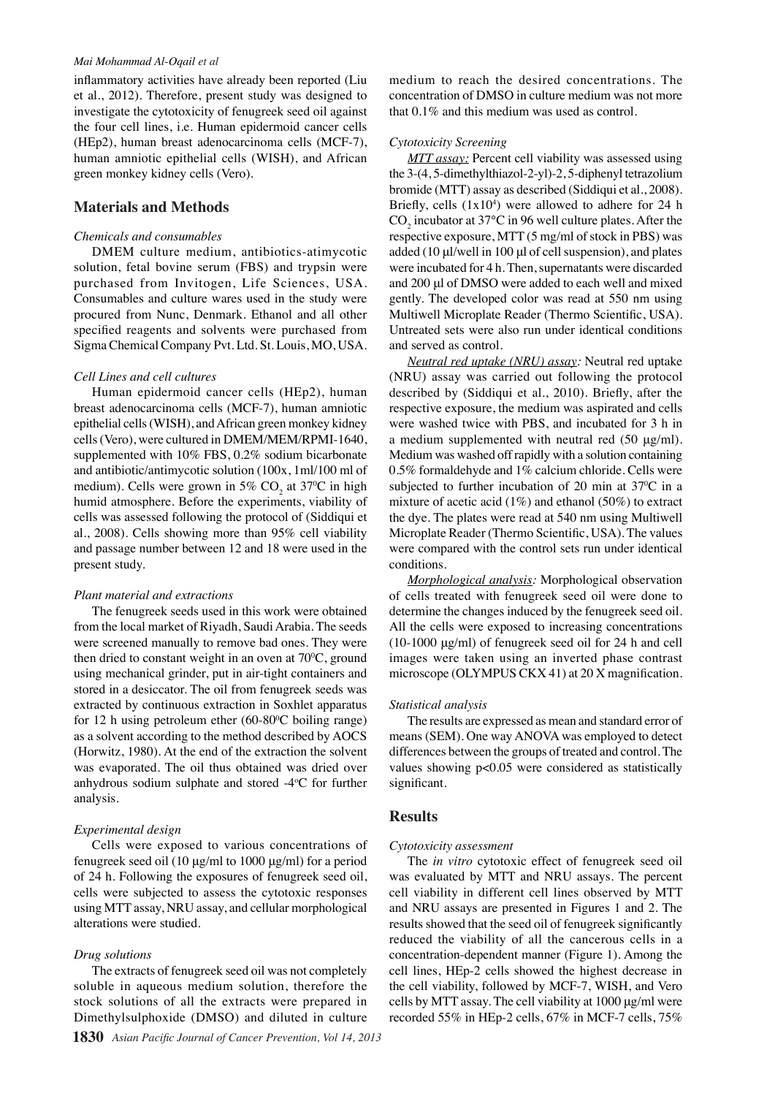#### *Mai Mohammad Al-Oqail et al*

inflammatory activities have already been reported (Liu et al., 2012). Therefore, present study was designed to investigate the cytotoxicity of fenugreek seed oil against the four cell lines, i.e. Human epidermoid cancer cells (HEp2), human breast adenocarcinoma cells (MCF-7), human amniotic epithelial cells (WISH), and African green monkey kidney cells (Vero).

### **Materials and Methods**

#### *Chemicals and consumables*

DMEM culture medium, antibiotics-atimycotic solution, fetal bovine serum (FBS) and trypsin were purchased from Invitogen, Life Sciences, USA. Consumables and culture wares used in the study were procured from Nunc, Denmark. Ethanol and all other specified reagents and solvents were purchased from Sigma Chemical Company Pvt. Ltd. St. Louis, MO, USA.

#### *Cell Lines and cell cultures*

Human epidermoid cancer cells (HEp2), human breast adenocarcinoma cells (MCF-7), human amniotic epithelial cells (WISH), and African green monkey kidney cells (Vero), were cultured in DMEM/MEM/RPMI-1640, supplemented with 10% FBS, 0.2% sodium bicarbonate and antibiotic/antimycotic solution (100x, 1ml/100 ml of medium). Cells were grown in 5%  $CO_2$  at 37<sup>o</sup>C in high humid atmosphere. Before the experiments, viability of cells was assessed following the protocol of (Siddiqui et al., 2008). Cells showing more than 95% cell viability and passage number between 12 and 18 were used in the present study.

#### *Plant material and extractions*

The fenugreek seeds used in this work were obtained from the local market of Riyadh, Saudi Arabia. The seeds were screened manually to remove bad ones. They were then dried to constant weight in an oven at  $70^{\circ}$ C, ground using mechanical grinder, put in air-tight containers and stored in a desiccator. The oil from fenugreek seeds was extracted by continuous extraction in Soxhlet apparatus for 12 h using petroleum ether  $(60-80^{\circ}C)$  boiling range) as a solvent according to the method described by AOCS (Horwitz, 1980). At the end of the extraction the solvent was evaporated. The oil thus obtained was dried over anhydrous sodium sulphate and stored -4°C for further analysis.

#### *Experimental design*

Cells were exposed to various concentrations of fenugreek seed oil (10 μg/ml to 1000 μg/ml) for a period of 24 h. Following the exposures of fenugreek seed oil, cells were subjected to assess the cytotoxic responses using MTT assay, NRU assay, and cellular morphological alterations were studied.

#### *Drug solutions*

The extracts of fenugreek seed oil was not completely soluble in aqueous medium solution, therefore the stock solutions of all the extracts were prepared in Dimethylsulphoxide (DMSO) and diluted in culture

medium to reach the desired concentrations. The concentration of DMSO in culture medium was not more that 0.1% and this medium was used as control.

#### *Cytotoxicity Screening*

*MTT assay:* Percent cell viability was assessed using the 3-(4, 5-dimethylthiazol-2-yl)-2, 5-diphenyl tetrazolium bromide (MTT) assay as described (Siddiqui et al., 2008). Briefly, cells  $(1x10<sup>4</sup>)$  were allowed to adhere for 24 h  $CO_2$  incubator at 37°C in 96 well culture plates. After the respective exposure, MTT (5 mg/ml of stock in PBS) was added (10 μl/well in 100 μl of cell suspension), and plates were incubated for 4 h. Then, supernatants were discarded and 200 μl of DMSO were added to each well and mixed gently. The developed color was read at 550 nm using Multiwell Microplate Reader (Thermo Scientific, USA). Untreated sets were also run under identical conditions and served as control.

*Neutral red uptake (NRU) assay:* Neutral red uptake (NRU) assay was carried out following the protocol described by (Siddiqui et al., 2010). Briefly, after the respective exposure, the medium was aspirated and cells were washed twice with PBS, and incubated for 3 h in a medium supplemented with neutral red (50 μg/ml). Medium was washed off rapidly with a solution containing 0.5% formaldehyde and 1% calcium chloride. Cells were subjected to further incubation of 20 min at  $37^{\circ}$ C in a mixture of acetic acid  $(1\%)$  and ethanol  $(50\%)$  to extract the dye. The plates were read at 540 nm using Multiwell Microplate Reader (Thermo Scientific, USA). The values were compared with the control sets run under identical conditions.

*Morphological analysis:* Morphological observation of cells treated with fenugreek seed oil were done to determine the changes induced by the fenugreek seed oil. All the cells were exposed to increasing concentrations (10-1000 μg/ml) of fenugreek seed oil for 24 h and cell images were taken using an inverted phase contrast microscope (OLYMPUS CKX 41) at 20 X magnification.

#### *Statistical analysis*

The results are expressed as mean and standard error of means (SEM). One way ANOVA was employed to detect differences between the groups of treated and control. The values showing p<0.05 were considered as statistically significant.

## **Results**

#### *Cytotoxicity assessment*

The *in vitro* cytotoxic effect of fenugreek seed oil was evaluated by MTT and NRU assays. The percent cell viability in different cell lines observed by MTT and NRU assays are presented in Figures 1 and 2. The results showed that the seed oil of fenugreek significantly reduced the viability of all the cancerous cells in a concentration-dependent manner (Figure 1). Among the cell lines, HEp-2 cells showed the highest decrease in the cell viability, followed by MCF-7, WISH, and Vero cells by MTT assay. The cell viability at 1000 μg/ml were recorded 55% in HEp-2 cells, 67% in MCF-7 cells, 75%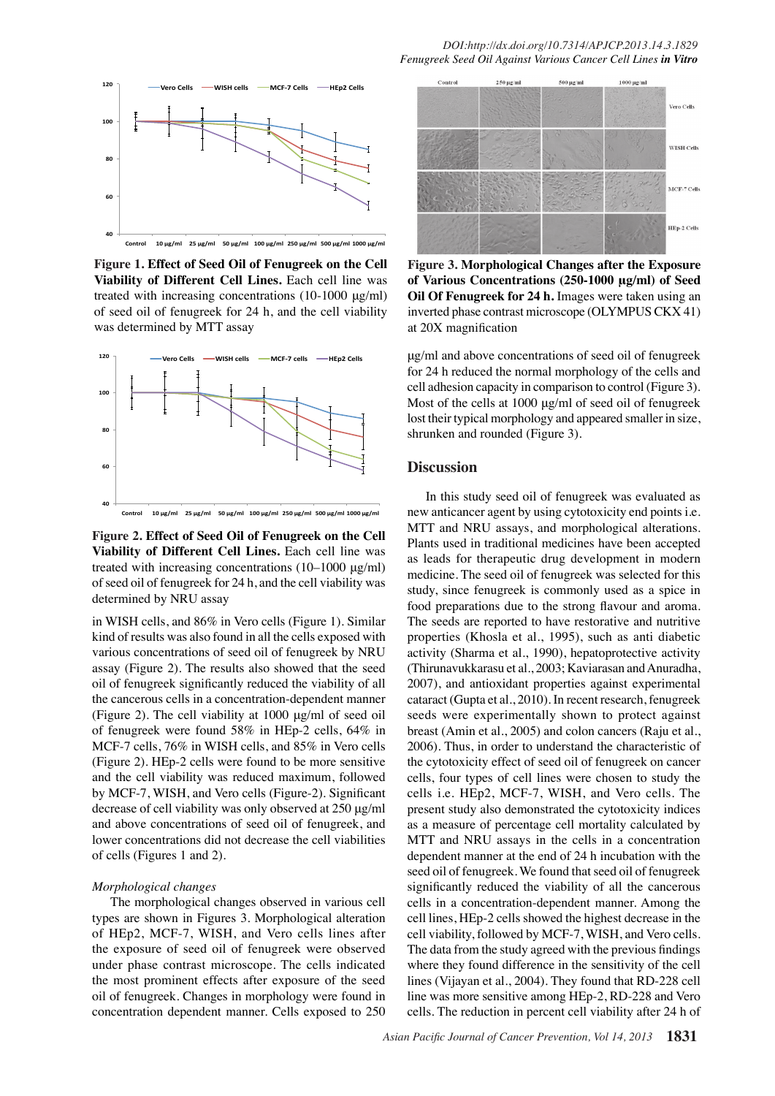

**Figure 1. Effect of Seed Oil of Fenugreek on the Cell Viability of Different Cell Lines.** Each cell line was treated with increasing concentrations (10-1000 μg/ml) of seed oil of fenugreek for 24 h, and the cell viability was determined by MTT assay



**Figure 2. Effect of Seed Oil of Fenugreek on the Cell Viability of Different Cell Lines.** Each cell line was treated with increasing concentrations (10–1000 μg/ml) of seed oil of fenugreek for 24 h, and the cell viability was determined by NRU assay

in WISH cells, and 86% in Vero cells (Figure 1). Similar kind of results was also found in all the cells exposed with various concentrations of seed oil of fenugreek by NRU assay (Figure 2). The results also showed that the seed oil of fenugreek significantly reduced the viability of all the cancerous cells in a concentration-dependent manner (Figure 2). The cell viability at 1000 μg/ml of seed oil of fenugreek were found 58% in HEp-2 cells, 64% in MCF-7 cells, 76% in WISH cells, and 85% in Vero cells (Figure 2). HEp-2 cells were found to be more sensitive and the cell viability was reduced maximum, followed by MCF-7, WISH, and Vero cells (Figure-2). Significant decrease of cell viability was only observed at 250 μg/ml and above concentrations of seed oil of fenugreek, and lower concentrations did not decrease the cell viabilities of cells (Figures 1 and 2).

#### *Morphological changes*

The morphological changes observed in various cell types are shown in Figures 3. Morphological alteration of HEp2, MCF-7, WISH, and Vero cells lines after the exposure of seed oil of fenugreek were observed under phase contrast microscope. The cells indicated the most prominent effects after exposure of the seed oil of fenugreek. Changes in morphology were found in concentration dependent manner. Cells exposed to 250



**Figure 3. Morphological Changes after the Exposure of Various Concentrations (250-1000 μg/ml) of Seed Oil Of Fenugreek for 24 h.** Images were taken using an inverted phase contrast microscope (OLYMPUS CKX 41) at 20X magnification

μg/ml and above concentrations of seed oil of fenugreek for 24 h reduced the normal morphology of the cells and cell adhesion capacity in comparison to control (Figure 3). Most of the cells at 1000 μg/ml of seed oil of fenugreek lost their typical morphology and appeared smaller in size, shrunken and rounded (Figure 3).

## **Discussion**

In this study seed oil of fenugreek was evaluated as new anticancer agent by using cytotoxicity end points i.e. MTT and NRU assays, and morphological alterations. Plants used in traditional medicines have been accepted as leads for therapeutic drug development in modern medicine. The seed oil of fenugreek was selected for this study, since fenugreek is commonly used as a spice in food preparations due to the strong flavour and aroma. The seeds are reported to have restorative and nutritive properties (Khosla et al., 1995), such as anti diabetic activity (Sharma et al., 1990), hepatoprotective activity (Thirunavukkarasu et al., 2003; Kaviarasan and Anuradha, 2007), and antioxidant properties against experimental cataract (Gupta et al., 2010). In recent research, fenugreek seeds were experimentally shown to protect against breast (Amin et al., 2005) and colon cancers (Raju et al., 2006). Thus, in order to understand the characteristic of the cytotoxicity effect of seed oil of fenugreek on cancer cells, four types of cell lines were chosen to study the cells i.e. HEp2, MCF-7, WISH, and Vero cells. The present study also demonstrated the cytotoxicity indices as a measure of percentage cell mortality calculated by MTT and NRU assays in the cells in a concentration dependent manner at the end of 24 h incubation with the seed oil of fenugreek. We found that seed oil of fenugreek significantly reduced the viability of all the cancerous cells in a concentration-dependent manner. Among the cell lines, HEp-2 cells showed the highest decrease in the cell viability, followed by MCF-7, WISH, and Vero cells. The data from the study agreed with the previous findings where they found difference in the sensitivity of the cell lines (Vijayan et al., 2004). They found that RD-228 cell line was more sensitive among HEp-2, RD-228 and Vero cells. The reduction in percent cell viability after 24 h of